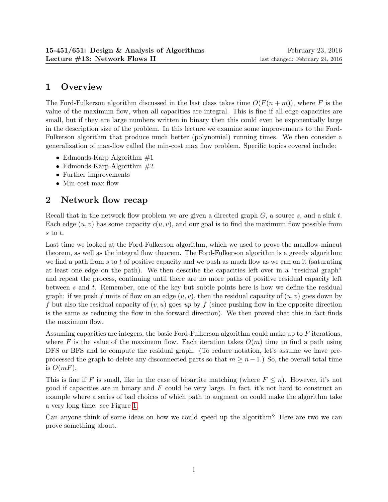# 1 Overview

The Ford-Fulkerson algorithm discussed in the last class takes time  $O(F(n+m))$ , where F is the value of the maximum flow, when all capacities are integral. This is fine if all edge capacities are small, but if they are large numbers written in binary then this could even be exponentially large in the description size of the problem. In this lecture we examine some improvements to the Ford-Fulkerson algorithm that produce much better (polynomial) running times. We then consider a generalization of max-flow called the min-cost max flow problem. Specific topics covered include:

- Edmonds-Karp Algorithm  $#1$
- Edmonds-Karp Algorithm  $#2$
- Further improvements
- Min-cost max flow

# 2 Network flow recap

Recall that in the network flow problem we are given a directed graph  $G$ , a source  $s$ , and a sink  $t$ . Each edge  $(u, v)$  has some capacity  $c(u, v)$ , and our goal is to find the maximum flow possible from s to t.

Last time we looked at the Ford-Fulkerson algorithm, which we used to prove the maxflow-mincut theorem, as well as the integral flow theorem. The Ford-Fulkerson algorithm is a greedy algorithm: we find a path from  $s$  to  $t$  of positive capacity and we push as much flow as we can on it (saturating at least one edge on the path). We then describe the capacities left over in a "residual graph" and repeat the process, continuing until there are no more paths of positive residual capacity left between s and t. Remember, one of the key but subtle points here is how we define the residual graph: if we push f units of flow on an edge  $(u, v)$ , then the residual capacity of  $(u, v)$  goes down by f but also the residual capacity of  $(v, u)$  goes up by f (since pushing flow in the opposite direction is the same as reducing the flow in the forward direction). We then proved that this in fact finds the maximum flow.

Assuming capacities are integers, the basic Ford-Fulkerson algorithm could make up to F iterations, where F is the value of the maximum flow. Each iteration takes  $O(m)$  time to find a path using DFS or BFS and to compute the residual graph. (To reduce notation, let's assume we have preprocessed the graph to delete any disconnected parts so that  $m \geq n - 1$ .) So, the overall total time is  $O(mF)$ .

This is fine if F is small, like in the case of bipartite matching (where  $F \leq n$ ). However, it's not good if capacities are in binary and  $F$  could be very large. In fact, it's not hard to construct an example where a series of bad choices of which path to augment on could make the algorithm take a very long time: see Figure [1.](#page-1-0)

Can anyone think of some ideas on how we could speed up the algorithm? Here are two we can prove something about.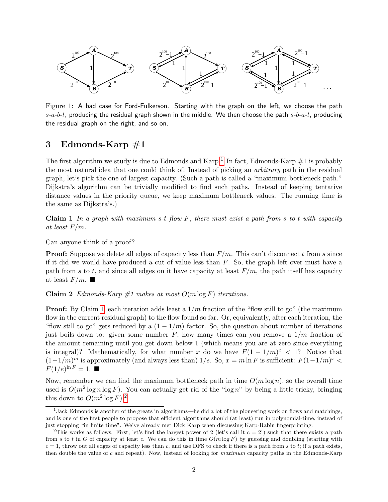

<span id="page-1-0"></span>Figure 1: A bad case for Ford-Fulkerson. Starting with the graph on the left, we choose the path  $s-a-b-t$ , producing the residual graph shown in the middle. We then choose the path  $s-b-a-t$ , producing the residual graph on the right, and so on.

#### 3 Edmonds-Karp  $#1$

The first algorithm we study is due to Edmonds and Karp.<sup>[1](#page-1-1)</sup> In fact, Edmonds-Karp  $\#1$  is probably the most natural idea that one could think of. Instead of picking an arbitrary path in the residual graph, let's pick the one of largest capacity. (Such a path is called a "maximum bottleneck path." Dijkstra's algorithm can be trivially modified to find such paths. Instead of keeping tentative distance values in the priority queue, we keep maximum bottleneck values. The running time is the same as Dijkstra's.)

<span id="page-1-2"></span>**Claim 1** In a graph with maximum s-t flow F, there must exist a path from s to t with capacity at least  $F/m$ .

Can anyone think of a proof?

**Proof:** Suppose we delete all edges of capacity less than  $F/m$ . This can't disconnect t from s since if it did we would have produced a cut of value less than  $F$ . So, the graph left over must have a path from s to t, and since all edges on it have capacity at least  $F/m$ , the path itself has capacity at least  $F/m$ .

<span id="page-1-4"></span>Claim 2 Edmonds-Karp  $#1$  makes at most  $O(m \log F)$  iterations.

**Proof:** By Claim [1,](#page-1-2) each iteration adds least a  $1/m$  fraction of the "flow still to go" (the maximum flow in the current residual graph) to the flow found so far. Or, equivalently, after each iteration, the "flow still to go" gets reduced by a  $(1 - 1/m)$  factor. So, the question about number of iterations just boils down to: given some number  $F$ , how many times can you remove a  $1/m$  fraction of the amount remaining until you get down below 1 (which means you are at zero since everything is integral)? Mathematically, for what number x do we have  $F(1-1/m)^x < 1$ ? Notice that  $(1-1/m)^m$  is approximately (and always less than)  $1/e$ . So,  $x = m \ln F$  is sufficient:  $F(1-1/m)^x$  $F(1/e)^{\ln F} = 1$ .

Now, remember we can find the maximum bottleneck path in time  $O(m \log n)$ , so the overall time used is  $O(m^2 \log n \log F)$ . You can actually get rid of the "log n" by being a little tricky, bringing this down to  $O(m^2 \log F)^2$  $O(m^2 \log F)^2$  $O(m^2 \log F)^2$ .

<span id="page-1-1"></span><sup>&</sup>lt;sup>1</sup>Jack Edmonds is another of the greats in algorithms—he did a lot of the pioneering work on flows and matchings, and is one of the first people to propose that efficient algorithms should (at least) run in polynomial-time, instead of just stopping "in finite time". We've already met Dick Karp when discussing Karp-Rabin fingerprinting.

<span id="page-1-3"></span><sup>&</sup>lt;sup>2</sup>This works as follows. First, let's find the largest power of 2 (let's call it  $c = 2<sup>i</sup>$ ) such that there exists a path from s to t in G of capacity at least c. We can do this in time  $O(m \log F)$  by guessing and doubling (starting with  $c = 1$ , throw out all edges of capacity less than c, and use DFS to check if there is a path from s to t; if a path exists, then double the value of c and repeat). Now, instead of looking for maximum capacity paths in the Edmonds-Karp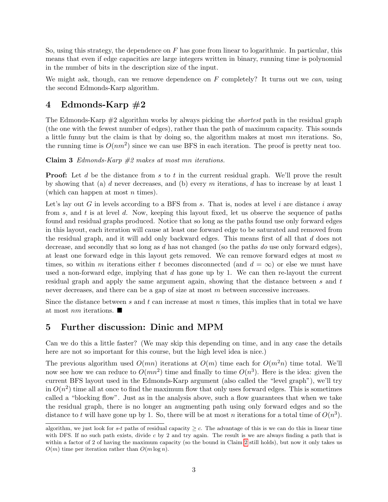So, using this strategy, the dependence on  $F$  has gone from linear to logarithmic. In particular, this means that even if edge capacities are large integers written in binary, running time is polynomial in the number of bits in the description size of the input.

We might ask, though, can we remove dependence on  $F$  completely? It turns out we can, using the second Edmonds-Karp algorithm.

## 4 Edmonds-Karp  $#2$

The Edmonds-Karp  $\#2$  algorithm works by always picking the *shortest* path in the residual graph (the one with the fewest number of edges), rather than the path of maximum capacity. This sounds a little funny but the claim is that by doing so, the algorithm makes at most  $mn$  iterations. So, the running time is  $O(nm^2)$  since we can use BFS in each iteration. The proof is pretty neat too.

Claim 3 Edmonds-Karp  $#2$  makes at most mn iterations.

**Proof:** Let d be the distance from s to t in the current residual graph. We'll prove the result by showing that (a) d never decreases, and (b) every m iterations, d has to increase by at least 1 (which can happen at most  $n$  times).

Let's lay out G in levels according to a BFS from s. That is, nodes at level i are distance i away from s, and t is at level d. Now, keeping this layout fixed, let us observe the sequence of paths found and residual graphs produced. Notice that so long as the paths found use only forward edges in this layout, each iteration will cause at least one forward edge to be saturated and removed from the residual graph, and it will add only backward edges. This means first of all that d does not decrease, and secondly that so long as d has not changed (so the paths do use only forward edges), at least one forward edge in this layout gets removed. We can remove forward edges at most m times, so within m iterations either t becomes disconnected (and  $d = \infty$ ) or else we must have used a non-forward edge, implying that  $d$  has gone up by 1. We can then re-layout the current residual graph and apply the same argument again, showing that the distance between s and t never decreases, and there can be a gap of size at most m between successive increases.

Since the distance between s and t can increase at most n times, this implies that in total we have at most *nm* iterations.  $\blacksquare$ 

### 5 Further discussion: Dinic and MPM

Can we do this a little faster? (We may skip this depending on time, and in any case the details here are not so important for this course, but the high level idea is nice.)

The previous algorithm used  $O(mn)$  iterations at  $O(m)$  time each for  $O(m^2n)$  time total. We'll now see how we can reduce to  $O(mn^2)$  time and finally to time  $O(n^3)$ . Here is the idea: given the current BFS layout used in the Edmonds-Karp argument (also called the "level graph"), we'll try in  $O(n^2)$  time all at once to find the maximum flow that only uses forward edges. This is sometimes called a "blocking flow". Just as in the analysis above, such a flow guarantees that when we take the residual graph, there is no longer an augmenting path using only forward edges and so the distance to t will have gone up by 1. So, there will be at most n iterations for a total time of  $O(n^3)$ .

algorithm, we just look for s-t paths of residual capacity  $\geq c$ . The advantage of this is we can do this in linear time with DFS. If no such path exists, divide  $c$  by 2 and try again. The result is we are always finding a path that is within a factor of [2](#page-1-4) of having the maximum capacity (so the bound in Claim 2 still holds), but now it only takes us  $O(m)$  time per iteration rather than  $O(m \log n)$ .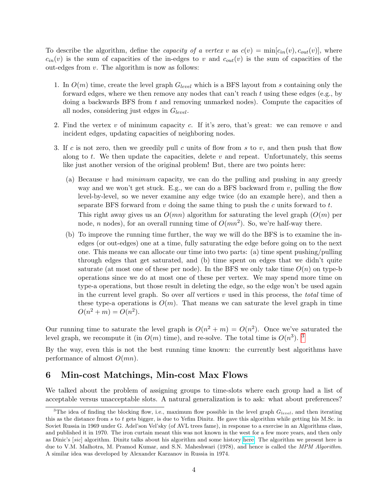To describe the algorithm, define the *capacity of a vertex v* as  $c(v) = \min[c_{in}(v), c_{out}(v)]$ , where  $c_{in}(v)$  is the sum of capacities of the in-edges to v and  $c_{out}(v)$  is the sum of capacities of the out-edges from  $v$ . The algorithm is now as follows:

- 1. In  $O(m)$  time, create the level graph  $G_{level}$  which is a BFS layout from s containing only the forward edges, where we then remove any nodes that can't reach  $t$  using these edges (e.g., by doing a backwards BFS from  $t$  and removing unmarked nodes). Compute the capacities of all nodes, considering just edges in  $G_{level}$ .
- 2. Find the vertex  $v$  of minimum capacity  $c$ . If it's zero, that's great: we can remove  $v$  and incident edges, updating capacities of neighboring nodes.
- 3. If c is not zero, then we greedily pull c units of flow from s to v, and then push that flow along to t. We then update the capacities, delete  $v$  and repeat. Unfortunately, this seems like just another version of the original problem! But, there are two points here:
	- (a) Because  $v$  had *minimum* capacity, we can do the pulling and pushing in any greedy way and we won't get stuck. E.g., we can do a BFS backward from  $v$ , pulling the flow level-by-level, so we never examine any edge twice (do an example here), and then a separate BFS forward from  $v$  doing the same thing to push the  $c$  units forward to  $t$ . This right away gives us an  $O(mn)$  algorithm for saturating the level graph  $(O(m))$  per node, *n* nodes), for an overall running time of  $O(mn^2)$ . So, we're half-way there.
	- (b) To improve the running time further, the way we will do the BFS is to examine the inedges (or out-edges) one at a time, fully saturating the edge before going on to the next one. This means we can allocate our time into two parts: (a) time spent pushing/pulling through edges that get saturated, and (b) time spent on edges that we didn't quite saturate (at most one of these per node). In the BFS we only take time  $O(n)$  on type-b operations since we do at most one of these per vertex. We may spend more time on type-a operations, but those result in deleting the edge, so the edge won't be used again in the current level graph. So over all vertices  $v$  used in this process, the *total* time of these type-a operations is  $O(m)$ . That means we can saturate the level graph in time  $O(n^2 + m) = O(n^2)$ .

Our running time to saturate the level graph is  $O(n^2 + m) = O(n^2)$ . Once we've saturated the level graph, we recompute it (in  $O(m)$  time), and re-solve. The total time is  $O(n^3)$  $O(n^3)$  $O(n^3)$ . <sup>3</sup>

By the way, even this is not the best running time known: the currently best algorithms have performance of almost  $O(mn)$ .

#### 6 Min-cost Matchings, Min-cost Max Flows

We talked about the problem of assigning groups to time-slots where each group had a list of acceptable versus unacceptable slots. A natural generalization is to ask: what about preferences?

<span id="page-3-0"></span><sup>&</sup>lt;sup>3</sup>The idea of finding the blocking flow, i.e., maximum flow possible in the level graph  $G_{level}$ , and then iterating this as the distance from s to t gets bigger, is due to Yefim Dinitz. He gave this algorithm while getting his M.Sc. in Soviet Russia in 1969 under G. Adel'son Vel'sky (of AVL trees fame), in response to a exercise in an Algorithms class, and published it in 1970. The iron curtain meant this was not known in the west for a few more years, and then only as Dinic's [sic] algorithm. Dinitz talks about his algorithm and some history [here.](http://www.cs.bgu.ac.il/~dinitz/Papers/Dinitz_alg.pdf) The algorithm we present here is due to V.M. Malhotra, M. Pramod Kumar, and S.N. Maheshwari (1978), and hence is called the MPM Algorithm. A similar idea was developed by Alexander Karzanov in Russia in 1974.